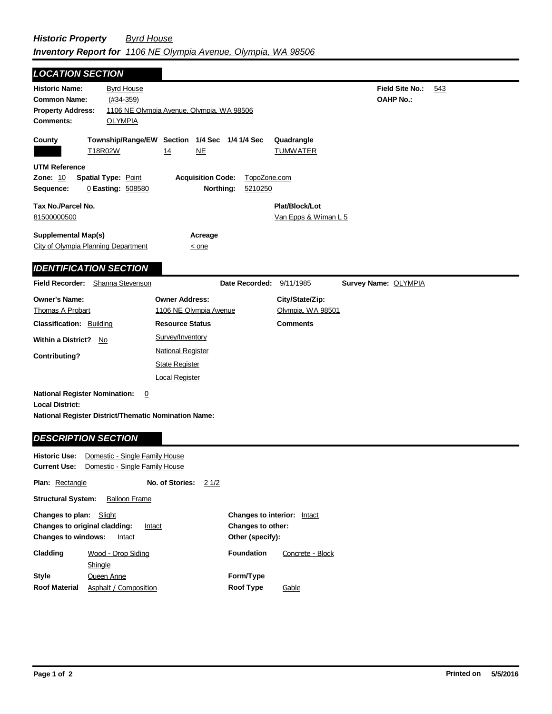| <b>LOCATION SECTION</b>                                                                                                       |                                                                                                 |                                                                            |                                       |                         |                                                                |                                            |     |
|-------------------------------------------------------------------------------------------------------------------------------|-------------------------------------------------------------------------------------------------|----------------------------------------------------------------------------|---------------------------------------|-------------------------|----------------------------------------------------------------|--------------------------------------------|-----|
| <b>Historic Name:</b><br><b>Common Name:</b><br><b>Property Address:</b><br><b>Comments:</b>                                  | <u>Byrd House</u><br>$(#34-359)$<br>1106 NE Olympia Avenue, Olympia, WA 98506<br><b>OLYMPIA</b> |                                                                            |                                       |                         |                                                                | <b>Field Site No.:</b><br><b>OAHP No.:</b> | 543 |
| County                                                                                                                        | Township/Range/EW Section 1/4 Sec 1/4 1/4 Sec<br>T18R02W                                        | <u>14</u>                                                                  | NE                                    |                         | Quadrangle<br><b>TUMWATER</b>                                  |                                            |     |
| <b>UTM Reference</b><br>Zone: 10<br>Sequence:                                                                                 | <b>Spatial Type: Point</b><br>0 Easting: 508580                                                 |                                                                            | <b>Acquisition Code:</b><br>Northing: | TopoZone.com<br>5210250 |                                                                |                                            |     |
| Tax No./Parcel No.<br>81500000500                                                                                             |                                                                                                 |                                                                            |                                       |                         | Plat/Block/Lot<br>Van Epps & Wiman L 5                         |                                            |     |
| <b>Supplemental Map(s)</b><br>City of Olympia Planning Department                                                             |                                                                                                 |                                                                            | Acreage<br>$\leq$ one                 |                         |                                                                |                                            |     |
| <b>IDENTIFICATION SECTION</b>                                                                                                 |                                                                                                 |                                                                            |                                       |                         |                                                                |                                            |     |
| <b>Field Recorder:</b>                                                                                                        | Shanna Stevenson                                                                                |                                                                            |                                       | Date Recorded:          | 9/11/1985                                                      | Survey Name: OLYMPIA                       |     |
| <b>Owner's Name:</b><br><b>Thomas A Probart</b><br><b>Classification: Building</b>                                            |                                                                                                 | <b>Owner Address:</b><br>1106 NE Olympia Avenue<br><b>Resource Status</b>  |                                       |                         | City/State/Zip:<br><u>Olympia, WA 98501</u><br><b>Comments</b> |                                            |     |
| <b>Within a District?</b>                                                                                                     | No.                                                                                             | Survey/Inventory                                                           |                                       |                         |                                                                |                                            |     |
| <b>Contributing?</b>                                                                                                          |                                                                                                 | <b>National Register</b><br><b>State Register</b><br><b>Local Register</b> |                                       |                         |                                                                |                                            |     |
| <b>National Register Nomination:</b><br><b>Local District:</b><br><b>National Register District/Thematic Nomination Name:</b> | $\overline{0}$                                                                                  |                                                                            |                                       |                         |                                                                |                                            |     |
| <b>DESCRIPTION SECTION</b>                                                                                                    |                                                                                                 |                                                                            |                                       |                         |                                                                |                                            |     |
| <b>Historic Use:</b><br><b>Current Use:</b>                                                                                   | Domestic - Single Family House<br>Domestic - Single Family House                                |                                                                            |                                       |                         |                                                                |                                            |     |
| <b>Plan: Rectangle</b>                                                                                                        |                                                                                                 | No. of Stories:                                                            | 21/2                                  |                         |                                                                |                                            |     |
| <b>Structural System:</b>                                                                                                     | <b>Balloon Frame</b>                                                                            |                                                                            |                                       |                         |                                                                |                                            |     |

| <b>Changes to plan:</b> Slight<br>Changes to original cladding:<br><b>Changes to windows:</b> | Intact<br>Intact      |                   | <b>Changes to interior:</b> Intact<br>Changes to other:<br>Other (specify): |  |  |
|-----------------------------------------------------------------------------------------------|-----------------------|-------------------|-----------------------------------------------------------------------------|--|--|
| Cladding                                                                                      | Wood - Drop Siding    | <b>Foundation</b> | Concrete - Block                                                            |  |  |
|                                                                                               | Shingle               |                   |                                                                             |  |  |
| <b>Style</b>                                                                                  | Queen Anne            | Form/Type         |                                                                             |  |  |
| <b>Roof Material</b>                                                                          | Asphalt / Composition | <b>Roof Type</b>  | Gable                                                                       |  |  |

 $\blacksquare$